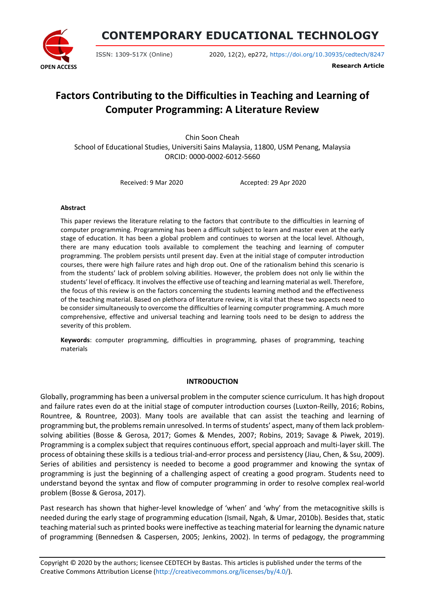

**CONTEMPORARY EDUCATIONAL TECHNOLOGY**

ISSN: 1309-517X (Online) 2020, 12(2), ep272, <https://doi.org/10.30935/cedtech/8247>

**Research Article**

# **Factors Contributing to the Difficulties in Teaching and Learning of Computer Programming: A Literature Review**

Chin Soon Cheah School of Educational Studies, Universiti Sains Malaysia, 11800, USM Penang, Malaysia ORCID: 0000-0002-6012-5660

Received: 9 Mar 2020 Accepted: 29 Apr 2020

#### **Abstract**

This paper reviews the literature relating to the factors that contribute to the difficulties in learning of computer programming. Programming has been a difficult subject to learn and master even at the early stage of education. It has been a global problem and continues to worsen at the local level. Although, there are many education tools available to complement the teaching and learning of computer programming. The problem persists until present day. Even at the initial stage of computer introduction courses, there were high failure rates and high drop out. One of the rationalism behind this scenario is from the students' lack of problem solving abilities. However, the problem does not only lie within the students' level of efficacy. It involves the effective use of teaching and learning material as well. Therefore, the focus of this review is on the factors concerning the students learning method and the effectiveness of the teaching material. Based on plethora of literature review, it is vital that these two aspects need to be consider simultaneously to overcome the difficulties of learning computer programming. A much more comprehensive, effective and universal teaching and learning tools need to be design to address the severity of this problem.

**Keywords**: computer programming, difficulties in programming, phases of programming, teaching materials

#### **INTRODUCTION**

Globally, programming has been a universal problem in the computer science curriculum. It has high dropout and failure rates even do at the initial stage of computer introduction courses (Luxton-Reilly, 2016; Robins, Rountree, & Rountree, 2003). Many tools are available that can assist the teaching and learning of programming but, the problems remain unresolved. In terms of students' aspect, many of them lack problemsolving abilities (Bosse & Gerosa, 2017; Gomes & Mendes, 2007; Robins, 2019; Savage & Piwek, 2019). Programming is a complex subject that requires continuous effort, special approach and multi-layer skill. The process of obtaining these skills is a tedious trial-and-error process and persistency (Jiau, Chen, & Ssu, 2009). Series of abilities and persistency is needed to become a good programmer and knowing the syntax of programming is just the beginning of a challenging aspect of creating a good program. Students need to understand beyond the syntax and flow of computer programming in order to resolve complex real-world problem (Bosse & Gerosa, 2017).

Past research has shown that higher-level knowledge of 'when' and 'why' from the metacognitive skills is needed during the early stage of programming education (Ismail, Ngah, & Umar, 2010b). Besides that, static teaching material such as printed books were ineffective as teaching material for learning the dynamic nature of programming (Bennedsen & Caspersen, 2005; Jenkins, 2002). In terms of pedagogy, the programming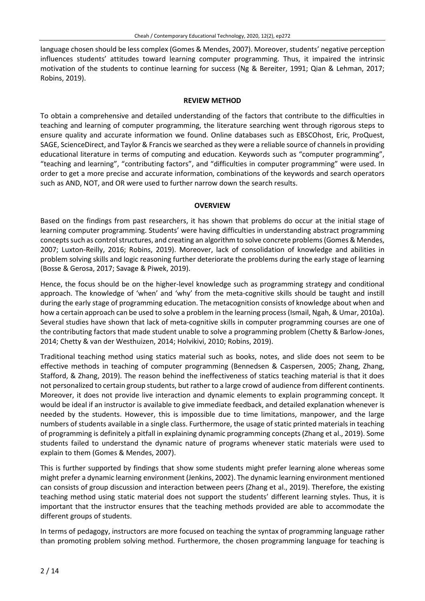language chosen should be less complex (Gomes & Mendes, 2007). Moreover, students' negative perception influences students' attitudes toward learning computer programming. Thus, it impaired the intrinsic motivation of the students to continue learning for success (Ng & Bereiter, 1991; Qian & Lehman, 2017; Robins, 2019).

#### **REVIEW METHOD**

To obtain a comprehensive and detailed understanding of the factors that contribute to the difficulties in teaching and learning of computer programming, the literature searching went through rigorous steps to ensure quality and accurate information we found. Online databases such as EBSCOhost, Eric, ProQuest, SAGE, ScienceDirect, and Taylor & Francis we searched asthey were a reliable source of channelsin providing educational literature in terms of computing and education. Keywords such as "computer programming", "teaching and learning", "contributing factors", and "difficulties in computer programming" were used. In order to get a more precise and accurate information, combinations of the keywords and search operators such as AND, NOT, and OR were used to further narrow down the search results.

#### **OVERVIEW**

Based on the findings from past researchers, it has shown that problems do occur at the initial stage of learning computer programming. Students' were having difficulties in understanding abstract programming concepts such as control structures, and creating an algorithm to solve concrete problems (Gomes & Mendes, 2007; Luxton-Reilly, 2016; Robins, 2019). Moreover, lack of consolidation of knowledge and abilities in problem solving skills and logic reasoning further deteriorate the problems during the early stage of learning (Bosse & Gerosa, 2017; Savage & Piwek, 2019).

Hence, the focus should be on the higher-level knowledge such as programming strategy and conditional approach. The knowledge of 'when' and 'why' from the meta-cognitive skills should be taught and instill during the early stage of programming education. The metacognition consists of knowledge about when and how a certain approach can be used to solve a problem in the learning process(Ismail, Ngah, & Umar, 2010a). Several studies have shown that lack of meta-cognitive skills in computer programming courses are one of the contributing factors that made student unable to solve a programming problem (Chetty & Barlow-Jones, 2014; Chetty & van der Westhuizen, 2014; Holvikivi, 2010; Robins, 2019).

Traditional teaching method using statics material such as books, notes, and slide does not seem to be effective methods in teaching of computer programming (Bennedsen & Caspersen, 2005; Zhang, Zhang, Stafford, & Zhang, 2019). The reason behind the ineffectiveness of statics teaching material is that it does not personalized to certain group students, but rather to a large crowd of audience from different continents. Moreover, it does not provide live interaction and dynamic elements to explain programming concept. It would be ideal if an instructor is available to give immediate feedback, and detailed explanation whenever is needed by the students. However, this is impossible due to time limitations, manpower, and the large numbers of students available in a single class. Furthermore, the usage of static printed materials in teaching of programming is definitely a pitfall in explaining dynamic programming concepts (Zhang et al., 2019). Some students failed to understand the dynamic nature of programs whenever static materials were used to explain to them (Gomes & Mendes, 2007).

This is further supported by findings that show some students might prefer learning alone whereas some might prefer a dynamic learning environment (Jenkins, 2002). The dynamic learning environment mentioned can consists of group discussion and interaction between peers (Zhang et al., 2019). Therefore, the existing teaching method using static material does not support the students' different learning styles. Thus, it is important that the instructor ensures that the teaching methods provided are able to accommodate the different groups of students.

In terms of pedagogy, instructors are more focused on teaching the syntax of programming language rather than promoting problem solving method. Furthermore, the chosen programming language for teaching is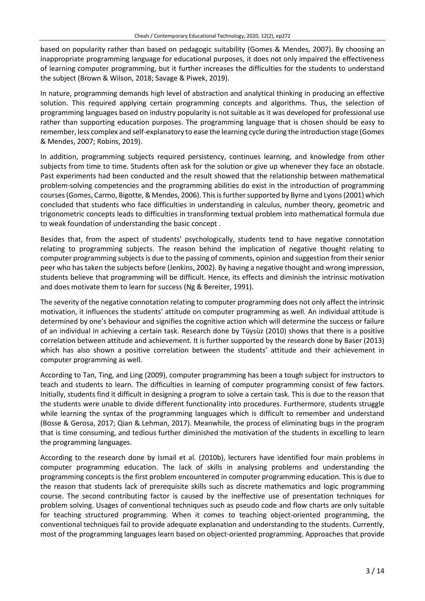based on popularity rather than based on pedagogic suitability (Gomes & Mendes, 2007). By choosing an inappropriate programming language for educational purposes, it does not only impaired the effectiveness of learning computer programming, but it further increases the difficulties for the students to understand the subject (Brown & Wilson, 2018; Savage & Piwek, 2019).

In nature, programming demands high level of abstraction and analytical thinking in producing an effective solution. This required applying certain programming concepts and algorithms. Thus, the selection of programming languages based on industry popularity is not suitable as it was developed for professional use rather than supporting education purposes. The programming language that is chosen should be easy to remember, less complex and self-explanatory to ease the learning cycle during the introduction stage (Gomes & Mendes, 2007; Robins, 2019).

In addition, programming subjects required persistency, continues learning, and knowledge from other subjects from time to time. Students often ask for the solution or give up whenever they face an obstacle. Past experiments had been conducted and the result showed that the relationship between mathematical problem-solving competencies and the programming abilities do exist in the introduction of programming courses (Gomes, Carmo, Bigotte, & Mendes, 2006). This is further supported by Byrne and Lyons (2001) which concluded that students who face difficulties in understanding in calculus, number theory, geometric and trigonometric concepts leads to difficulties in transforming textual problem into mathematical formula due to weak foundation of understanding the basic concept .

Besides that, from the aspect of students' psychologically, students tend to have negative connotation relating to programming subjects. The reason behind the implication of negative thought relating to computer programming subjects is due to the passing of comments, opinion and suggestion from their senior peer who has taken the subjects before (Jenkins, 2002). By having a negative thought and wrong impression, students believe that programming will be difficult. Hence, its effects and diminish the intrinsic motivation and does motivate them to learn for success (Ng & Bereiter, 1991).

The severity of the negative connotation relating to computer programming does not only affect the intrinsic motivation, it influences the students' attitude on computer programming as well. An individual attitude is determined by one's behaviour and signifies the cognitive action which will determine the success or failure of an individual in achieving a certain task. Research done by Tüysüz (2010) shows that there is a positive correlation between attitude and achievement. It is further supported by the research done by Baser (2013) which has also shown a positive correlation between the students' attitude and their achievement in computer programming as well.

According to Tan, Ting, and Ling (2009), computer programming has been a tough subject for instructors to teach and students to learn. The difficulties in learning of computer programming consist of few factors. Initially, students find it difficult in designing a program to solve a certain task. This is due to the reason that the students were unable to divide different functionality into procedures. Furthermore, students struggle while learning the syntax of the programming languages which is difficult to remember and understand (Bosse & Gerosa, 2017; Qian & Lehman, 2017). Meanwhile, the process of eliminating bugs in the program that is time consuming, and tedious further diminished the motivation of the students in excelling to learn the programming languages.

According to the research done by Ismail et al. (2010b), lecturers have identified four main problems in computer programming education. The lack of skills in analysing problems and understanding the programming concepts is the first problem encountered in computer programming education. This is due to the reason that students lack of prerequisite skills such as discrete mathematics and logic programming course. The second contributing factor is caused by the ineffective use of presentation techniques for problem solving. Usages of conventional techniques such as pseudo code and flow charts are only suitable for teaching structured programming. When it comes to teaching object-oriented programming, the conventional techniques fail to provide adequate explanation and understanding to the students. Currently, most of the programming languages learn based on object-oriented programming. Approaches that provide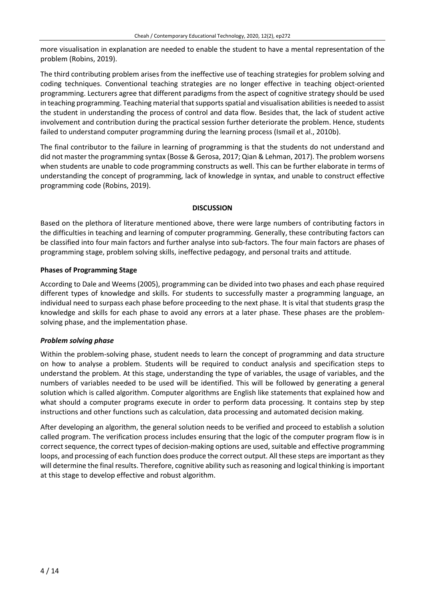more visualisation in explanation are needed to enable the student to have a mental representation of the problem (Robins, 2019).

The third contributing problem arises from the ineffective use of teaching strategies for problem solving and coding techniques. Conventional teaching strategies are no longer effective in teaching object-oriented programming. Lecturers agree that different paradigms from the aspect of cognitive strategy should be used in teaching programming. Teaching material that supports spatial and visualisation abilities is needed to assist the student in understanding the process of control and data flow. Besides that, the lack of student active involvement and contribution during the practical session further deteriorate the problem. Hence, students failed to understand computer programming during the learning process (Ismail et al., 2010b).

The final contributor to the failure in learning of programming is that the students do not understand and did not master the programming syntax (Bosse & Gerosa, 2017; Qian & Lehman, 2017). The problem worsens when students are unable to code programming constructs as well. This can be further elaborate in terms of understanding the concept of programming, lack of knowledge in syntax, and unable to construct effective programming code (Robins, 2019).

#### **DISCUSSION**

Based on the plethora of literature mentioned above, there were large numbers of contributing factors in the difficulties in teaching and learning of computer programming. Generally, these contributing factors can be classified into four main factors and further analyse into sub-factors. The four main factors are phases of programming stage, problem solving skills, ineffective pedagogy, and personal traits and attitude.

## **Phases of Programming Stage**

According to Dale and Weems (2005), programming can be divided into two phases and each phase required different types of knowledge and skills. For students to successfully master a programming language, an individual need to surpass each phase before proceeding to the next phase. It is vital that students grasp the knowledge and skills for each phase to avoid any errors at a later phase. These phases are the problemsolving phase, and the implementation phase.

# *Problem solving phase*

Within the problem-solving phase, student needs to learn the concept of programming and data structure on how to analyse a problem. Students will be required to conduct analysis and specification steps to understand the problem. At this stage, understanding the type of variables, the usage of variables, and the numbers of variables needed to be used will be identified. This will be followed by generating a general solution which is called algorithm. Computer algorithms are English like statements that explained how and what should a computer programs execute in order to perform data processing. It contains step by step instructions and other functions such as calculation, data processing and automated decision making.

After developing an algorithm, the general solution needs to be verified and proceed to establish a solution called program. The verification process includes ensuring that the logic of the computer program flow is in correct sequence, the correct types of decision-making options are used, suitable and effective programming loops, and processing of each function does produce the correct output. All these steps are important as they will determine the final results. Therefore, cognitive ability such asreasoning and logical thinking isimportant at this stage to develop effective and robust algorithm.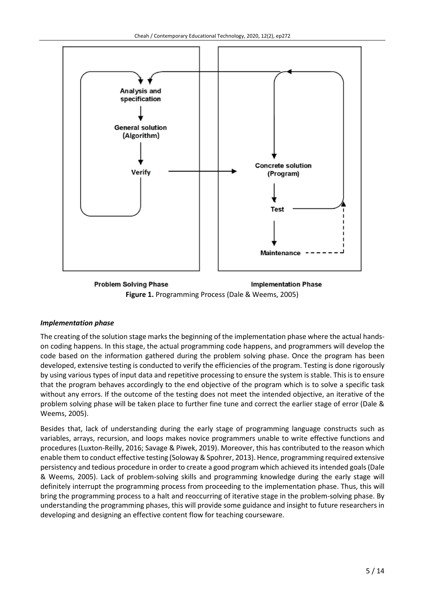

**Problem Solving Phase Implementation Phase Figure 1.** Programming Process (Dale & Weems, 2005)

# *Implementation phase*

The creating of the solution stage marks the beginning of the implementation phase where the actual handson coding happens. In this stage, the actual programming code happens, and programmers will develop the code based on the information gathered during the problem solving phase. Once the program has been developed, extensive testing is conducted to verify the efficiencies of the program. Testing is done rigorously by using various types of input data and repetitive processing to ensure the system is stable. Thisis to ensure that the program behaves accordingly to the end objective of the program which is to solve a specific task without any errors. If the outcome of the testing does not meet the intended objective, an iterative of the problem solving phase will be taken place to further fine tune and correct the earlier stage of error (Dale & Weems, 2005).

Besides that, lack of understanding during the early stage of programming language constructs such as variables, arrays, recursion, and loops makes novice programmers unable to write effective functions and procedures (Luxton-Reilly, 2016; Savage & Piwek, 2019). Moreover, this has contributed to the reason which enable them to conduct effective testing (Soloway & Spohrer, 2013). Hence, programming required extensive persistency and tedious procedure in order to create a good program which achieved its intended goals (Dale & Weems, 2005). Lack of problem-solving skills and programming knowledge during the early stage will definitely interrupt the programming process from proceeding to the implementation phase. Thus, this will bring the programming process to a halt and reoccurring of iterative stage in the problem-solving phase. By understanding the programming phases, this will provide some guidance and insight to future researchers in developing and designing an effective content flow for teaching courseware.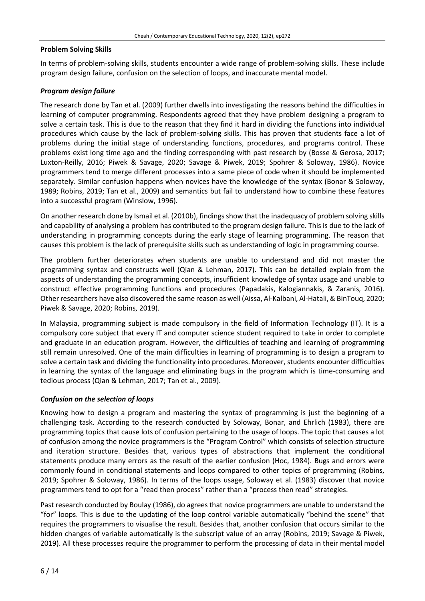#### **Problem Solving Skills**

In terms of problem-solving skills, students encounter a wide range of problem-solving skills. These include program design failure, confusion on the selection of loops, and inaccurate mental model.

## *Program design failure*

The research done by Tan et al. (2009) further dwells into investigating the reasons behind the difficulties in learning of computer programming. Respondents agreed that they have problem designing a program to solve a certain task. This is due to the reason that they find it hard in dividing the functions into individual procedures which cause by the lack of problem-solving skills. This has proven that students face a lot of problems during the initial stage of understanding functions, procedures, and programs control. These problems exist long time ago and the finding corresponding with past research by (Bosse & Gerosa, 2017; Luxton-Reilly, 2016; Piwek & Savage, 2020; Savage & Piwek, 2019; Spohrer & Soloway, 1986). Novice programmers tend to merge different processes into a same piece of code when it should be implemented separately. Similar confusion happens when novices have the knowledge of the syntax (Bonar & Soloway, 1989; Robins, 2019; Tan et al., 2009) and semantics but fail to understand how to combine these features into a successful program (Winslow, 1996).

On another research done by Ismail et al. (2010b), findings show that the inadequacy of problem solving skills and capability of analysing a problem has contributed to the program design failure. This is due to the lack of understanding in programming concepts during the early stage of learning programming. The reason that causes this problem is the lack of prerequisite skills such as understanding of logic in programming course.

The problem further deteriorates when students are unable to understand and did not master the programming syntax and constructs well (Qian & Lehman, 2017). This can be detailed explain from the aspects of understanding the programming concepts, insufficient knowledge of syntax usage and unable to construct effective programming functions and procedures (Papadakis, Kalogiannakis, & Zaranis, 2016). Other researchers have also discovered the same reason as well (Aissa, Al-Kalbani, Al-Hatali,& BinTouq, 2020; Piwek & Savage, 2020; Robins, 2019).

In Malaysia, programming subject is made compulsory in the field of Information Technology (IT). It is a compulsory core subject that every IT and computer science student required to take in order to complete and graduate in an education program. However, the difficulties of teaching and learning of programming still remain unresolved. One of the main difficulties in learning of programming is to design a program to solve a certain task and dividing the functionality into procedures. Moreover, students encounter difficulties in learning the syntax of the language and eliminating bugs in the program which is time-consuming and tedious process (Qian & Lehman, 2017; Tan et al., 2009).

# *Confusion on the selection of loops*

Knowing how to design a program and mastering the syntax of programming is just the beginning of a challenging task. According to the research conducted by Soloway, Bonar, and Ehrlich (1983), there are programming topics that cause lots of confusion pertaining to the usage of loops. The topic that causes a lot of confusion among the novice programmers is the "Program Control" which consists of selection structure and iteration structure. Besides that, various types of abstractions that implement the conditional statements produce many errors as the result of the earlier confusion (Hoc, 1984). Bugs and errors were commonly found in conditional statements and loops compared to other topics of programming (Robins, 2019; Spohrer & Soloway, 1986). In terms of the loops usage, Soloway et al. (1983) discover that novice programmers tend to opt for a "read then process" rather than a "process then read" strategies.

Past research conducted by Boulay (1986), do agrees that novice programmers are unable to understand the "for" loops. This is due to the updating of the loop control variable automatically "behind the scene" that requires the programmers to visualise the result. Besides that, another confusion that occurs similar to the hidden changes of variable automatically is the subscript value of an array (Robins, 2019; Savage & Piwek, 2019). All these processes require the programmer to perform the processing of data in their mental model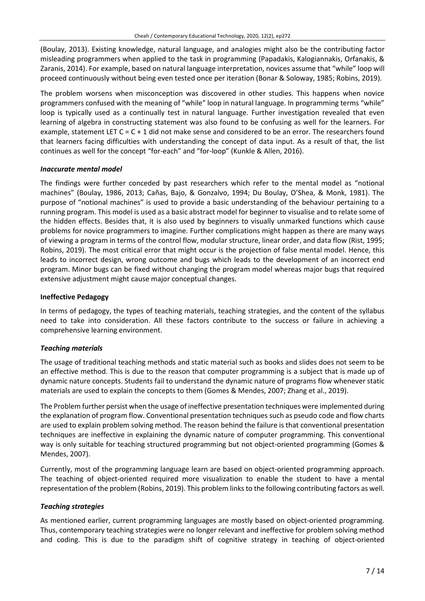(Boulay, 2013). Existing knowledge, natural language, and analogies might also be the contributing factor misleading programmers when applied to the task in programming (Papadakis, Kalogiannakis, Orfanakis, & Zaranis, 2014). For example, based on natural language interpretation, novices assume that "while" loop will proceed continuously without being even tested once per iteration (Bonar & Soloway, 1985; Robins, 2019).

The problem worsens when misconception was discovered in other studies. This happens when novice programmers confused with the meaning of "while" loop in natural language. In programming terms "while" loop is typically used as a continually test in natural language. Further investigation revealed that even learning of algebra in constructing statement was also found to be confusing as well for the learners. For example, statement LET  $C = C + 1$  did not make sense and considered to be an error. The researchers found that learners facing difficulties with understanding the concept of data input. As a result of that, the list continues as well for the concept "for-each" and "for-loop" (Kunkle & Allen, 2016).

## *Inaccurate mental model*

The findings were further conceded by past researchers which refer to the mental model as "notional machines" (Boulay, 1986, 2013; Cañas, Bajo, & Gonzalvo, 1994; Du Boulay, O'Shea, & Monk, 1981). The purpose of "notional machines" is used to provide a basic understanding of the behaviour pertaining to a running program. This model is used as a basic abstract model for beginner to visualise and to relate some of the hidden effects. Besides that, it is also used by beginners to visually unmarked functions which cause problems for novice programmers to imagine. Further complications might happen as there are many ways of viewing a program in terms of the control flow, modular structure, linear order, and data flow (Rist, 1995; Robins, 2019). The most critical error that might occur is the projection of false mental model. Hence, this leads to incorrect design, wrong outcome and bugs which leads to the development of an incorrect end program. Minor bugs can be fixed without changing the program model whereas major bugs that required extensive adjustment might cause major conceptual changes.

#### **Ineffective Pedagogy**

In terms of pedagogy, the types of teaching materials, teaching strategies, and the content of the syllabus need to take into consideration. All these factors contribute to the success or failure in achieving a comprehensive learning environment.

# *Teaching materials*

The usage of traditional teaching methods and static material such as books and slides does not seem to be an effective method. This is due to the reason that computer programming is a subject that is made up of dynamic nature concepts. Students fail to understand the dynamic nature of programs flow whenever static materials are used to explain the concepts to them (Gomes & Mendes, 2007; Zhang et al., 2019).

The Problem further persist when the usage of ineffective presentation techniques were implemented during the explanation of program flow. Conventional presentation techniques such as pseudo code and flow charts are used to explain problem solving method. The reason behind the failure is that conventional presentation techniques are ineffective in explaining the dynamic nature of computer programming. This conventional way is only suitable for teaching structured programming but not object-oriented programming (Gomes & Mendes, 2007).

Currently, most of the programming language learn are based on object-oriented programming approach. The teaching of object-oriented required more visualization to enable the student to have a mental representation of the problem (Robins, 2019). This problem linksto the following contributing factors as well.

#### *Teaching strategies*

As mentioned earlier, current programming languages are mostly based on object-oriented programming. Thus, contemporary teaching strategies were no longer relevant and ineffective for problem solving method and coding. This is due to the paradigm shift of cognitive strategy in teaching of object-oriented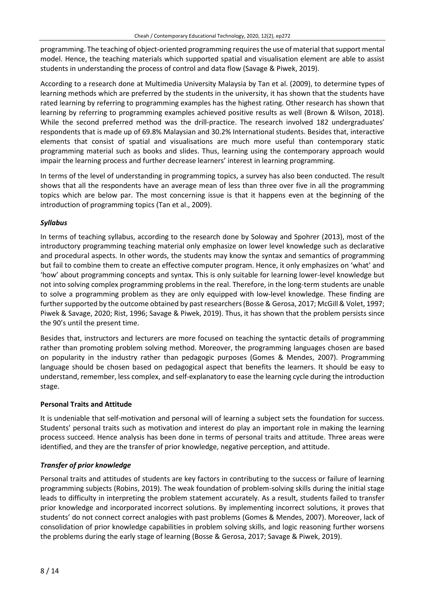programming. The teaching of object-oriented programming requires the use of material that support mental model. Hence, the teaching materials which supported spatial and visualisation element are able to assist students in understanding the process of control and data flow (Savage & Piwek, 2019).

According to a research done at Multimedia University Malaysia by Tan et al. (2009), to determine types of learning methods which are preferred by the students in the university, it has shown that the students have rated learning by referring to programming examples has the highest rating. Other research has shown that learning by referring to programming examples achieved positive results as well (Brown & Wilson, 2018). While the second preferred method was the drill-practice. The research involved 182 undergraduates' respondents that is made up of 69.8% Malaysian and 30.2% International students. Besides that, interactive elements that consist of spatial and visualisations are much more useful than contemporary static programming material such as books and slides. Thus, learning using the contemporary approach would impair the learning process and further decrease learners' interest in learning programming.

In terms of the level of understanding in programming topics, a survey has also been conducted. The result shows that all the respondents have an average mean of less than three over five in all the programming topics which are below par. The most concerning issue is that it happens even at the beginning of the introduction of programming topics (Tan et al., 2009).

## *Syllabus*

In terms of teaching syllabus, according to the research done by Soloway and Spohrer (2013), most of the introductory programming teaching material only emphasize on lower level knowledge such as declarative and procedural aspects. In other words, the students may know the syntax and semantics of programming but fail to combine them to create an effective computer program. Hence, it only emphasizes on 'what' and 'how' about programming concepts and syntax. This is only suitable for learning lower-level knowledge but not into solving complex programming problems in the real. Therefore, in the long-term students are unable to solve a programming problem as they are only equipped with low-level knowledge. These finding are further supported by the outcome obtained by past researchers (Bosse & Gerosa, 2017; McGill & Volet, 1997; Piwek & Savage, 2020; Rist, 1996; Savage & Piwek, 2019). Thus, it has shown that the problem persists since the 90's until the present time.

Besides that, instructors and lecturers are more focused on teaching the syntactic details of programming rather than promoting problem solving method. Moreover, the programming languages chosen are based on popularity in the industry rather than pedagogic purposes (Gomes & Mendes, 2007). Programming language should be chosen based on pedagogical aspect that benefits the learners. It should be easy to understand, remember, less complex, and self-explanatory to ease the learning cycle during the introduction stage.

#### **Personal Traits and Attitude**

It is undeniable that self-motivation and personal will of learning a subject sets the foundation for success. Students' personal traits such as motivation and interest do play an important role in making the learning process succeed. Hence analysis has been done in terms of personal traits and attitude. Three areas were identified, and they are the transfer of prior knowledge, negative perception, and attitude.

# *Transfer of prior knowledge*

Personal traits and attitudes of students are key factors in contributing to the success or failure of learning programming subjects (Robins, 2019). The weak foundation of problem-solving skills during the initial stage leads to difficulty in interpreting the problem statement accurately. As a result, students failed to transfer prior knowledge and incorporated incorrect solutions. By implementing incorrect solutions, it proves that students' do not connect correct analogies with past problems (Gomes & Mendes, 2007). Moreover, lack of consolidation of prior knowledge capabilities in problem solving skills, and logic reasoning further worsens the problems during the early stage of learning (Bosse & Gerosa, 2017; Savage & Piwek, 2019).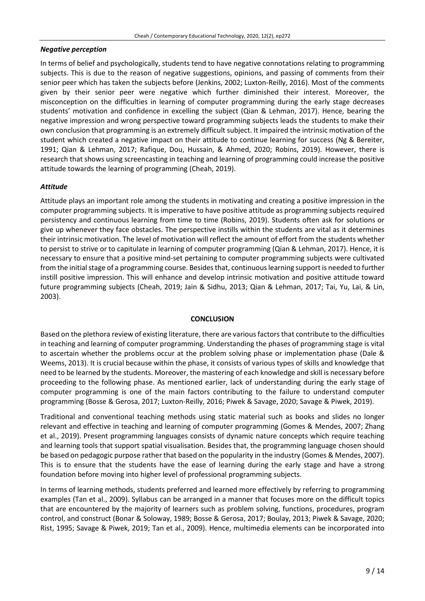#### *Negative perception*

In terms of belief and psychologically, students tend to have negative connotations relating to programming subjects. This is due to the reason of negative suggestions, opinions, and passing of comments from their senior peer which has taken the subjects before (Jenkins, 2002; Luxton-Reilly, 2016). Most of the comments given by their senior peer were negative which further diminished their interest. Moreover, the misconception on the difficulties in learning of computer programming during the early stage decreases students' motivation and confidence in excelling the subject (Qian & Lehman, 2017). Hence, bearing the negative impression and wrong perspective toward programming subjects leads the students to make their own conclusion that programming is an extremely difficult subject. It impaired the intrinsic motivation of the student which created a negative impact on their attitude to continue learning for success (Ng & Bereiter, 1991; Qian & Lehman, 2017; Rafique, Dou, Hussain, & Ahmed, 2020; Robins, 2019). However, there is research that shows using screencasting in teaching and learning of programming could increase the positive attitude towards the learning of programming (Cheah, 2019).

#### *Attitude*

Attitude plays an important role among the students in motivating and creating a positive impression in the computer programming subjects. It is imperative to have positive attitude as programming subjects required persistency and continuous learning from time to time (Robins, 2019). Students often ask for solutions or give up whenever they face obstacles. The perspective instills within the students are vital as it determines their intrinsic motivation. The level of motivation will reflect the amount of effort from the students whether to persist to strive or to capitulate in learning of computer programming (Qian & Lehman, 2017). Hence, it is necessary to ensure that a positive mind-set pertaining to computer programming subjects were cultivated from the initial stage of a programming course. Besides that, continuous learning support is needed to further instill positive impression. This will enhance and develop intrinsic motivation and positive attitude toward future programming subjects (Cheah, 2019; Jain & Sidhu, 2013; Qian & Lehman, 2017; Tai, Yu, Lai, & Lin, 2003).

#### **CONCLUSION**

Based on the plethora review of existing literature, there are variousfactorsthat contribute to the difficulties in teaching and learning of computer programming. Understanding the phases of programming stage is vital to ascertain whether the problems occur at the problem solving phase or implementation phase (Dale & Weems, 2013). It is crucial because within the phase, it consists of various types of skills and knowledge that need to be learned by the students. Moreover, the mastering of each knowledge and skill is necessary before proceeding to the following phase. As mentioned earlier, lack of understanding during the early stage of computer programming is one of the main factors contributing to the failure to understand computer programming (Bosse & Gerosa, 2017; Luxton-Reilly, 2016; Piwek & Savage, 2020; Savage & Piwek, 2019).

Traditional and conventional teaching methods using static material such as books and slides no longer relevant and effective in teaching and learning of computer programming (Gomes & Mendes, 2007; Zhang et al., 2019). Present programming languages consists of dynamic nature concepts which require teaching and learning tools that support spatial visualisation. Besides that, the programming language chosen should be based on pedagogic purpose rather that based on the popularity in the industry (Gomes & Mendes, 2007). This is to ensure that the students have the ease of learning during the early stage and have a strong foundation before moving into higher level of professional programming subjects.

In terms of learning methods, students preferred and learned more effectively by referring to programming examples (Tan et al., 2009). Syllabus can be arranged in a manner that focuses more on the difficult topics that are encountered by the majority of learners such as problem solving, functions, procedures, program control, and construct (Bonar & Soloway, 1989; Bosse & Gerosa, 2017; Boulay, 2013; Piwek & Savage, 2020; Rist, 1995; Savage & Piwek, 2019; Tan et al., 2009). Hence, multimedia elements can be incorporated into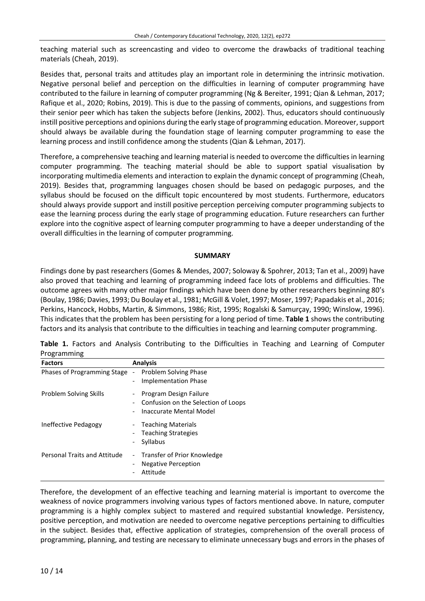teaching material such as screencasting and video to overcome the drawbacks of traditional teaching materials (Cheah, 2019).

Besides that, personal traits and attitudes play an important role in determining the intrinsic motivation. Negative personal belief and perception on the difficulties in learning of computer programming have contributed to the failure in learning of computer programming (Ng & Bereiter, 1991; Qian & Lehman, 2017; Rafique et al., 2020; Robins, 2019). This is due to the passing of comments, opinions, and suggestions from their senior peer which has taken the subjects before (Jenkins, 2002). Thus, educators should continuously instill positive perceptions and opinions during the early stage of programming education. Moreover,support should always be available during the foundation stage of learning computer programming to ease the learning process and instill confidence among the students (Qian & Lehman, 2017).

Therefore, a comprehensive teaching and learning material is needed to overcome the difficulties in learning computer programming. The teaching material should be able to support spatial visualisation by incorporating multimedia elements and interaction to explain the dynamic concept of programming (Cheah, 2019). Besides that, programming languages chosen should be based on pedagogic purposes, and the syllabus should be focused on the difficult topic encountered by most students. Furthermore, educators should always provide support and instill positive perception perceiving computer programming subjects to ease the learning process during the early stage of programming education. Future researchers can further explore into the cognitive aspect of learning computer programming to have a deeper understanding of the overall difficulties in the learning of computer programming.

#### **SUMMARY**

Findings done by past researchers (Gomes & Mendes, 2007; Soloway & Spohrer, 2013; Tan et al., 2009) have also proved that teaching and learning of programming indeed face lots of problems and difficulties. The outcome agrees with many other major findings which have been done by other researchers beginning 80's (Boulay, 1986; Davies, 1993; Du Boulay et al., 1981; McGill & Volet, 1997; Moser, 1997; Papadakis et al., 2016; Perkins, Hancock, Hobbs, Martin, & Simmons, 1986; Rist, 1995; Rogalski & Samurçay, 1990; Winslow, 1996). This indicates that the problem has been persisting for a long period of time. **Table 1** shows the contributing factors and its analysis that contribute to the difficulties in teaching and learning computer programming.

| <b>FIUSIAIIIIIIIIIIIII</b>    |                                                                                                                           |
|-------------------------------|---------------------------------------------------------------------------------------------------------------------------|
| <b>Factors</b>                | <b>Analysis</b>                                                                                                           |
| Phases of Programming Stage   | Problem Solving Phase<br>$\overline{\phantom{a}}$<br><b>Implementation Phase</b><br>$\overline{\phantom{a}}$              |
| <b>Problem Solving Skills</b> | Program Design Failure<br>$\overline{\phantom{0}}$<br>Confusion on the Selection of Loops<br>Inaccurate Mental Model<br>- |
| Ineffective Pedagogy          | <b>Teaching Materials</b><br>$\overline{\phantom{0}}$<br><b>Teaching Strategies</b><br>-<br>Syllabus<br>-                 |
| Personal Traits and Attitude  | Transfer of Prior Knowledge<br>$\overline{\phantom{a}}$<br><b>Negative Perception</b><br>-<br>Attitude                    |

**Table 1.** Factors and Analysis Contributing to the Difficulties in Teaching and Learning of Computer Programming

Therefore, the development of an effective teaching and learning material is important to overcome the weakness of novice programmers involving various types of factors mentioned above. In nature, computer programming is a highly complex subject to mastered and required substantial knowledge. Persistency, positive perception, and motivation are needed to overcome negative perceptions pertaining to difficulties in the subject. Besides that, effective application of strategies, comprehension of the overall process of programming, planning, and testing are necessary to eliminate unnecessary bugs and errors in the phases of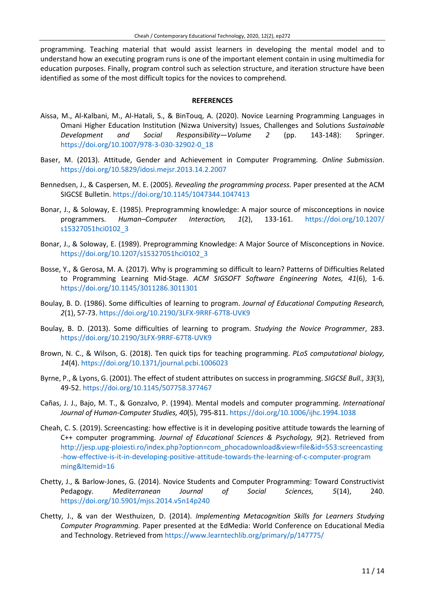programming. Teaching material that would assist learners in developing the mental model and to understand how an executing program runs is one of the important element contain in using multimedia for education purposes. Finally, program control such as selection structure, and iteration structure have been identified as some of the most difficult topics for the novices to comprehend.

#### **REFERENCES**

- Aissa, M., Al-Kalbani, M., Al-Hatali, S., & BinTouq, A. (2020). Novice Learning Programming Languages in Omani Higher Education Institution (Nizwa University) Issues, Challenges and Solutions *Sustainable Development and Social Responsibility—Volume 2* (pp. 143-148): Springer. [https://doi.org/10.1007/978-3-030-32902-0\\_18](https://doi.org/10.1007/978-3-030-32902-0_18)
- Baser, M. (2013). Attitude, Gender and Achievement in Computer Programming. *Online Submission*. <https://doi.org/10.5829/idosi.mejsr.2013.14.2.2007>
- Bennedsen, J., & Caspersen, M. E. (2005). *Revealing the programming process.* Paper presented at the ACM SIGCSE Bulletin. <https://doi.org/10.1145/1047344.1047413>
- Bonar, J., & Soloway, E. (1985). Preprogramming knowledge: A major source of misconceptions in novice programmers. *Human–Computer Interaction, 1*(2), 133-161. [https://doi.org/10.1207/](https://doi.org/10.1207/s15327051hci0102_3) [s15327051hci0102\\_3](https://doi.org/10.1207/s15327051hci0102_3)
- Bonar, J., & Soloway, E. (1989). Preprogramming Knowledge: A Major Source of Misconceptions in Novice. [https://doi.org/10.1207/s15327051hci0102\\_3](https://doi.org/10.1207/s15327051hci0102_3)
- Bosse, Y., & Gerosa, M. A. (2017). Why is programming so difficult to learn? Patterns of Difficulties Related to Programming Learning Mid-Stage. *ACM SIGSOFT Software Engineering Notes, 41*(6), 1-6. <https://doi.org/10.1145/3011286.3011301>
- Boulay, B. D. (1986). Some difficulties of learning to program. *Journal of Educational Computing Research, 2*(1), 57-73. <https://doi.org/10.2190/3LFX-9RRF-67T8-UVK9>
- Boulay, B. D. (2013). Some difficulties of learning to program. *Studying the Novice Programmer*, 283. <https://doi.org/10.2190/3LFX-9RRF-67T8-UVK9>
- Brown, N. C., & Wilson, G. (2018). Ten quick tips for teaching programming. *PLoS computational biology, 14*(4). <https://doi.org/10.1371/journal.pcbi.1006023>
- Byrne, P., & Lyons, G. (2001). The effect of student attributes on success in programming. *SIGCSE Bull., 33*(3), 49-52. <https://doi.org/10.1145/507758.377467>
- Cañas, J. J., Bajo, M. T., & Gonzalvo, P. (1994). Mental models and computer programming. *International Journal of Human-Computer Studies, 40*(5), 795-811. <https://doi.org/10.1006/ijhc.1994.1038>
- Cheah, C. S. (2019). Screencasting: how effective is it in developing positive attitude towards the learning of C++ computer programming. *Journal of Educational Sciences & Psychology, 9*(2). Retrieved from [http://jesp.upg-ploiesti.ro/index.php?option=com\\_phocadownload&view=file&id=553:screencasting](http://jesp.upg-ploiesti.ro/index.php?option=com_phocadownload&view=file&id=553:screencasting-how-effective-is-it-in-developing-positive-attitude-towards-the-learning-of-c-computer-programming&Itemid=16) [-how-effective-is-it-in-developing-positive-attitude-towards-the-learning-of-c-computer-program](http://jesp.upg-ploiesti.ro/index.php?option=com_phocadownload&view=file&id=553:screencasting-how-effective-is-it-in-developing-positive-attitude-towards-the-learning-of-c-computer-programming&Itemid=16) [ming&Itemid=16](http://jesp.upg-ploiesti.ro/index.php?option=com_phocadownload&view=file&id=553:screencasting-how-effective-is-it-in-developing-positive-attitude-towards-the-learning-of-c-computer-programming&Itemid=16)
- Chetty, J., & Barlow-Jones, G. (2014). Novice Students and Computer Programming: Toward Constructivist Pedagogy. *Mediterranean Journal of Social Sciences, 5*(14), 240. <https://doi.org/10.5901/mjss.2014.v5n14p240>
- Chetty, J., & van der Westhuizen, D. (2014). *Implementing Metacognition Skills for Learners Studying Computer Programming.* Paper presented at the EdMedia: World Conference on Educational Media and Technology. Retrieved from<https://www.learntechlib.org/primary/p/147775/>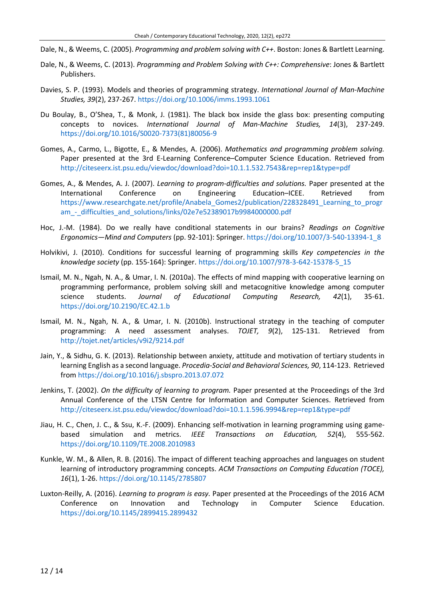- Dale, N., & Weems, C. (2005). *Programming and problem solving with C++*. Boston: Jones & Bartlett Learning.
- Dale, N., & Weems, C. (2013). *Programming and Problem Solving with C++: Comprehensive*: Jones & Bartlett Publishers.
- Davies, S. P. (1993). Models and theories of programming strategy. *International Journal of Man-Machine Studies, 39*(2), 237-267. <https://doi.org/10.1006/imms.1993.1061>
- Du Boulay, B., O'Shea, T., & Monk, J. (1981). The black box inside the glass box: presenting computing concepts to novices. *International Journal of Man-Machine Studies, 14*(3), 237-249. [https://doi.org/10.1016/S0020-7373\(81\)80056-9](https://doi.org/10.1016/S0020-7373(81)80056-9)
- Gomes, A., Carmo, L., Bigotte, E., & Mendes, A. (2006). *Mathematics and programming problem solving.* Paper presented at the 3rd E-Learning Conference–Computer Science Education. Retrieved from <http://citeseerx.ist.psu.edu/viewdoc/download?doi=10.1.1.532.7543&rep=rep1&type=pdf>
- Gomes, A., & Mendes, A. J. (2007). *Learning to program-difficulties and solutions.* Paper presented at the International Conference on Engineering Education–ICEE. Retrieved from [https://www.researchgate.net/profile/Anabela\\_Gomes2/publication/228328491\\_Learning\\_to\\_progr](https://www.researchgate.net/profile/Anabela_Gomes2/publication/228328491_Learning_to_program_-_difficulties_and_solutions/links/02e7e52389017b9984000000.pdf) am - difficulties and solutions/links/02e7e52389017b9984000000.pdf
- Hoc, J.-M. (1984). Do we really have conditional statements in our brains? *Readings on Cognitive Ergonomics—Mind and Computers* (pp. 92-101): Springer. [https://doi.org/10.1007/3-540-13394-1\\_8](https://doi.org/10.1007/3-540-13394-1_8)
- Holvikivi, J. (2010). Conditions for successful learning of programming skills *Key competencies in the knowledge society* (pp. 155-164): Springer. [https://doi.org/10.1007/978-3-642-15378-5\\_15](https://doi.org/10.1007/978-3-642-15378-5_15)
- Ismail, M. N., Ngah, N. A., & Umar, I. N. (2010a). The effects of mind mapping with cooperative learning on programming performance, problem solving skill and metacognitive knowledge among computer science students. *Journal of Educational Computing Research, 42*(1), 35-61. <https://doi.org/10.2190/EC.42.1.b>
- Ismail, M. N., Ngah, N. A., & Umar, I. N. (2010b). Instructional strategy in the teaching of computer programming: A need assessment analyses. *TOJET, 9*(2), 125-131. Retrieved from <http://tojet.net/articles/v9i2/9214.pdf>
- Jain, Y., & Sidhu, G. K. (2013). Relationship between anxiety, attitude and motivation of tertiary students in learning English as a second language. *Procedia-Social and Behavioral Sciences, 90*, 114-123. Retrieved from<https://doi.org/10.1016/j.sbspro.2013.07.072>
- Jenkins, T. (2002). *On the difficulty of learning to program.* Paper presented at the Proceedings of the 3rd Annual Conference of the LTSN Centre for Information and Computer Sciences. Retrieved from <http://citeseerx.ist.psu.edu/viewdoc/download?doi=10.1.1.596.9994&rep=rep1&type=pdf>
- Jiau, H. C., Chen, J. C., & Ssu, K.-F. (2009). Enhancing self-motivation in learning programming using gamebased simulation and metrics. *IEEE Transactions on Education, 52*(4), 555-562. <https://doi.org/10.1109/TE.2008.2010983>
- Kunkle, W. M., & Allen, R. B. (2016). The impact of different teaching approaches and languages on student learning of introductory programming concepts. *ACM Transactions on Computing Education (TOCE), 16*(1), 1-26. <https://doi.org/10.1145/2785807>
- Luxton-Reilly, A. (2016). *Learning to program is easy.* Paper presented at the Proceedings of the 2016 ACM Conference on Innovation and Technology in Computer Science Education. <https://doi.org/10.1145/2899415.2899432>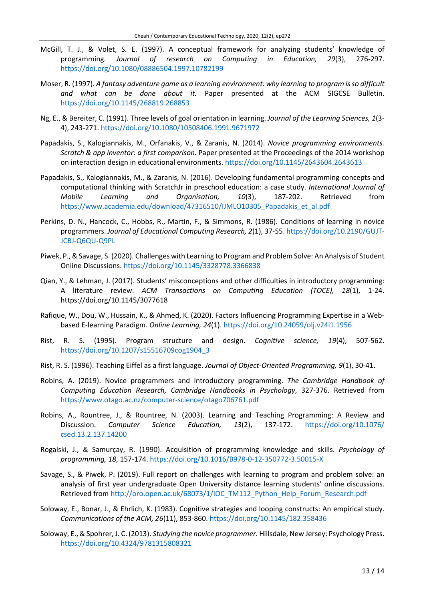- McGill, T. J., & Volet, S. E. (1997). A conceptual framework for analyzing students' knowledge of programming. *Journal of research on Computing in Education, 29*(3), 276-297. <https://doi.org/10.1080/08886504.1997.10782199>
- Moser, R. (1997). *A fantasy adventure game as a learning environment: why learning to program isso difficult and what can be done about it.* Paper presented at the ACM SIGCSE Bulletin. <https://doi.org/10.1145/268819.268853>
- Ng, E., & Bereiter, C. (1991). Three levels of goal orientation in learning. *Journal of the Learning Sciences, 1*(3- 4), 243-271. <https://doi.org/10.1080/10508406.1991.9671972>
- Papadakis, S., Kalogiannakis, M., Orfanakis, V., & Zaranis, N. (2014). *Novice programming environments. Scratch & app inventor: a first comparison.* Paper presented at the Proceedings of the 2014 workshop on interaction design in educational environments. <https://doi.org/10.1145/2643604.2643613>
- Papadakis, S., Kalogiannakis, M., & Zaranis, N. (2016). Developing fundamental programming concepts and computational thinking with ScratchJr in preschool education: a case study. *International Journal of Mobile Learning and Organisation, 10*(3), 187-202. Retrieved from [https://www.academia.edu/download/47316510/IJMLO10305\\_Papadakis\\_et\\_al.pdf](https://www.academia.edu/download/47316510/IJMLO10305_Papadakis_et_al.pdf)
- Perkins, D. N., Hancock, C., Hobbs, R., Martin, F., & Simmons, R. (1986). Conditions of learning in novice programmers. *Journal of Educational Computing Research, 2*(1), 37-55. [https://doi.org/10.2190/GUJT-](https://doi.org/10.2190/GUJT-JCBJ-Q6QU-Q9PL)[JCBJ-Q6QU-Q9PL](https://doi.org/10.2190/GUJT-JCBJ-Q6QU-Q9PL)
- Piwek, P., & Savage, S. (2020). Challenges with Learning to Program and Problem Solve: An Analysis of Student Online Discussions. <https://doi.org/10.1145/3328778.3366838>
- Qian, Y., & Lehman, J. (2017). Students' misconceptions and other difficulties in introductory programming: A literature review. *ACM Transactions on Computing Education (TOCE), 18*(1), 1-24. https://doi.org/10.1145/3077618
- Rafique, W., Dou, W., Hussain, K., & Ahmed, K. (2020). Factors Influencing Programming Expertise in a Webbased E-learning Paradigm. *Online Learning, 24*(1). <https://doi.org/10.24059/olj.v24i1.1956>
- Rist, R. S. (1995). Program structure and design. *Cognitive science, 19*(4), 507-562. [https://doi.org/10.1207/s15516709cog1904\\_3](https://doi.org/10.1207/s15516709cog1904_3)
- Rist, R. S. (1996). Teaching Eiffel as a first language. *Journal of Object-Oriented Programming, 9*(1), 30-41.
- Robins, A. (2019). Novice programmers and introductory programming. *The Cambridge Handbook of Computing Education Research, Cambridge Handbooks in Psychology*, 327-376. Retrieved from <https://www.otago.ac.nz/computer-science/otago706761.pdf>
- Robins, A., Rountree, J., & Rountree, N. (2003). Learning and Teaching Programming: A Review and Discussion. *Computer Science Education, 13*(2), 137-172. [https://doi.org/10.1076/](https://doi.org/10.1076/csed.13.2.137.14200) [csed.13.2.137.14200](https://doi.org/10.1076/csed.13.2.137.14200)
- Rogalski, J., & Samurçay, R. (1990). Acquisition of programming knowledge and skills. *Psychology of programming, 18*, 157-174. <https://doi.org/10.1016/B978-0-12-350772-3.50015-X>
- Savage, S., & Piwek, P. (2019). Full report on challenges with learning to program and problem solve: an analysis of first year undergraduate Open University distance learning students' online discussions. Retrieved from [http://oro.open.ac.uk/68073/1/IOC\\_TM112\\_Python\\_Help\\_Forum\\_Research.pdf](http://oro.open.ac.uk/68073/1/IOC_TM112_Python_Help_Forum_Research.pdf)
- Soloway, E., Bonar, J., & Ehrlich, K. (1983). Cognitive strategies and looping constructs: An empirical study. *Communications of the ACM, 26*(11), 853-860. <https://doi.org/10.1145/182.358436>
- Soloway, E., & Spohrer, J. C. (2013). *Studying the novice programmer*. Hillsdale, New Jersey: Psychology Press. <https://doi.org/10.4324/9781315808321>